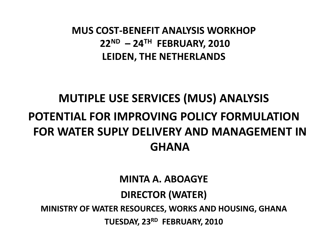**MUS COST-BENEFIT ANALYSIS WORKHOP 22ND – 24TH FEBRUARY, 2010 LEIDEN, THE NETHERLANDS**

#### **MUTIPLE USE SERVICES (MUS) ANALYSIS POTENTIAL FOR IMPROVING POLICY FORMULATION FOR WATER SUPLY DELIVERY AND MANAGEMENT IN GHANA**

**MINTA A. ABOAGYE**

#### **DIRECTOR (WATER)**

**MINISTRY OF WATER RESOURCES, WORKS AND HOUSING, GHANA**

**TUESDAY, 23RD FEBRUARY, 2010**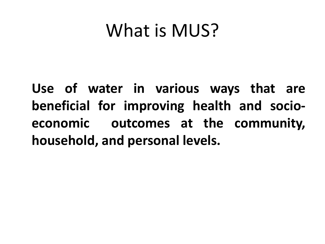## What is MUS?

**Use of water in various ways that are beneficial for improving health and socioeconomic outcomes at the community, household, and personal levels.**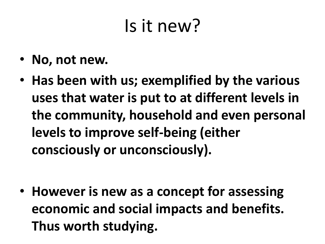## Is it new?

- **No, not new.**
- **Has been with us; exemplified by the various uses that water is put to at different levels in the community, household and even personal levels to improve self-being (either consciously or unconsciously).**

• **However is new as a concept for assessing economic and social impacts and benefits. Thus worth studying.**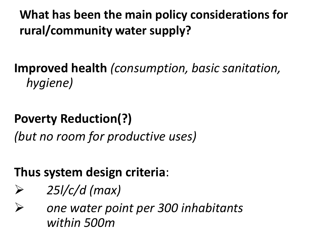#### **What has been the main policy considerations for rural/community water supply?**

#### **Improved health** *(consumption, basic sanitation, hygiene)*

#### **Poverty Reduction(?)**

*(but no room for productive uses)*

#### **Thus system design criteria**:

- *25l/c/d (max)*
- *one water point per 300 inhabitants within 500m*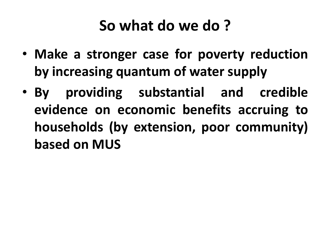### **So what do we do ?**

- **Make a stronger case for poverty reduction by increasing quantum of water supply**
- **By providing substantial and credible evidence on economic benefits accruing to households (by extension, poor community) based on MUS**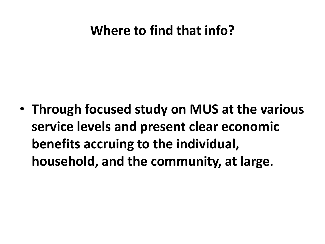#### **Where to find that info?**

• **Through focused study on MUS at the various service levels and present clear economic benefits accruing to the individual, household, and the community, at large**.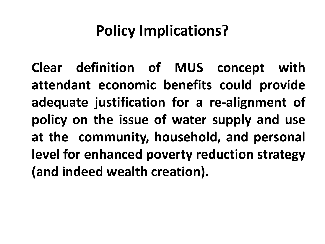## **Policy Implications?**

**Clear definition of MUS concept with attendant economic benefits could provide adequate justification for a re-alignment of policy on the issue of water supply and use at the community, household, and personal level for enhanced poverty reduction strategy (and indeed wealth creation).**